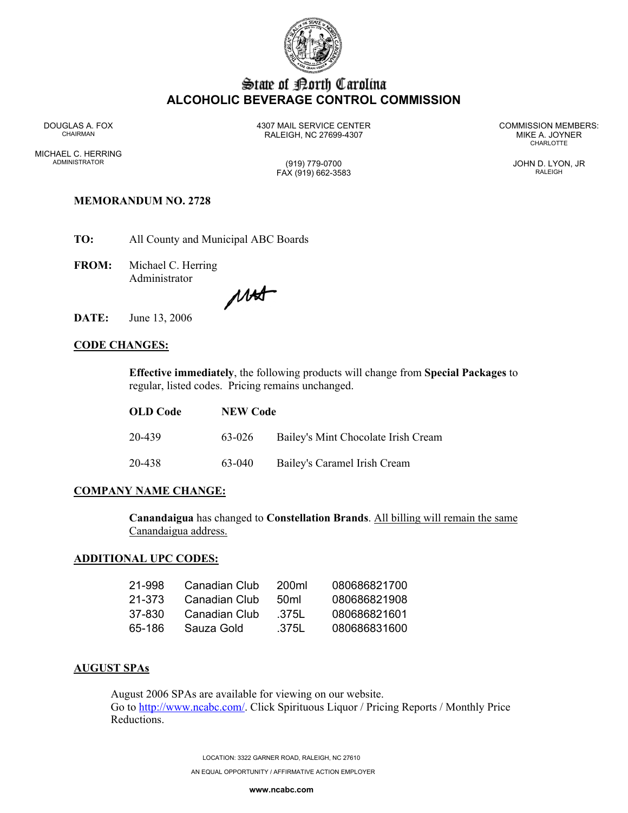

# State of Borth Carolina **ALCOHOLIC BEVERAGE CONTROL COMMISSION**

MICHAEL C. HERRING ADMINISTRATOR (919) 779-0700 JOHN D. LYON, JR

DOUGLAS A. FOX 4307 MAIL SERVICE CENTER COMMISSION MEMBERS: CHAIRMAN RALEIGH, NC 27699-4307 MIKE A. JOYNER

**CHARLOTTE** 

# FAX (919) 662-3583 RALEIGH

# **MEMORANDUM NO. 2728**

**TO:** All County and Municipal ABC Boards

**FROM:** Michael C. Herring Administrator

Mat

**DATE:** June 13, 2006

## **CODE CHANGES:**

**Effective immediately**, the following products will change from **Special Packages** to regular, listed codes. Pricing remains unchanged.

| <b>OLD</b> Code | <b>NEW Code</b> |                                     |
|-----------------|-----------------|-------------------------------------|
| 20-439          | 63-026          | Bailey's Mint Chocolate Irish Cream |
| 20-438          | 63-040          | Bailey's Caramel Irish Cream        |

#### **COMPANY NAME CHANGE:**

**Canandaigua** has changed to **Constellation Brands**. All billing will remain the same Canandaigua address.

#### **ADDITIONAL UPC CODES:**

| 21-998 | Canadian Club | 200ml            | 080686821700 |
|--------|---------------|------------------|--------------|
| 21-373 | Canadian Club | 50 <sub>ml</sub> | 080686821908 |
| 37-830 | Canadian Club | .375L            | 080686821601 |
| 65-186 | Sauza Gold    | .375L            | 080686831600 |

#### **AUGUST SPAs**

August 2006 SPAs are available for viewing on our website. Go to http://www.ncabc.com/. Click Spirituous Liquor / Pricing Reports / Monthly Price Reductions.

> LOCATION: 3322 GARNER ROAD, RALEIGH, NC 27610 AN EQUAL OPPORTUNITY / AFFIRMATIVE ACTION EMPLOYER